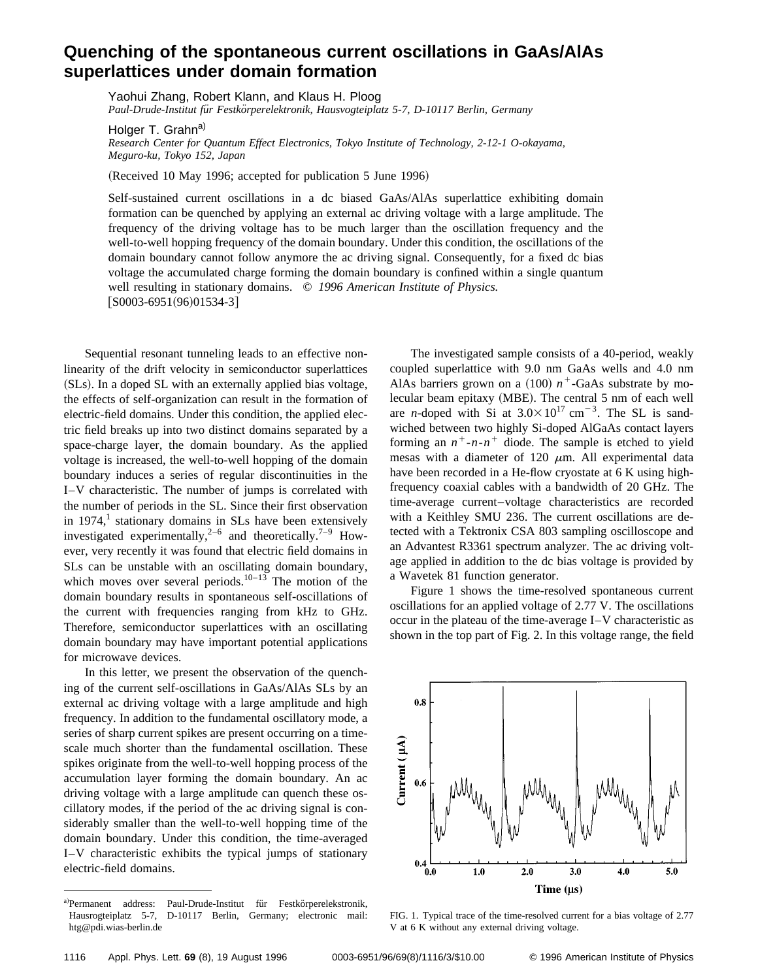## **Quenching of the spontaneous current oscillations in GaAs/AlAs superlattices under domain formation**

Yaohui Zhang, Robert Klann, and Klaus H. Ploog *Paul-Drude-Institut fu¨r Festko¨rperelektronik, Hausvogteiplatz 5-7, D-10117 Berlin, Germany*

Holger T. Grahn<sup>a)</sup>

*Research Center for Quantum Effect Electronics, Tokyo Institute of Technology, 2-12-1 O-okayama, Meguro-ku, Tokyo 152, Japan*

(Received 10 May 1996; accepted for publication 5 June 1996)

Self-sustained current oscillations in a dc biased GaAs/AlAs superlattice exhibiting domain formation can be quenched by applying an external ac driving voltage with a large amplitude. The frequency of the driving voltage has to be much larger than the oscillation frequency and the well-to-well hopping frequency of the domain boundary. Under this condition, the oscillations of the domain boundary cannot follow anymore the ac driving signal. Consequently, for a fixed dc bias voltage the accumulated charge forming the domain boundary is confined within a single quantum well resulting in stationary domains. © *1996 American Institute of Physics.*  $[$ S0003-6951(96)01534-3]

Sequential resonant tunneling leads to an effective nonlinearity of the drift velocity in semiconductor superlattices (SLs). In a doped SL with an externally applied bias voltage, the effects of self-organization can result in the formation of electric-field domains. Under this condition, the applied electric field breaks up into two distinct domains separated by a space-charge layer, the domain boundary. As the applied voltage is increased, the well-to-well hopping of the domain boundary induces a series of regular discontinuities in the I–V characteristic. The number of jumps is correlated with the number of periods in the SL. Since their first observation in  $1974$ ,<sup>1</sup> stationary domains in SLs have been extensively investigated experimentally,<sup>2–6</sup> and theoretically.<sup>7–9</sup> However, very recently it was found that electric field domains in SLs can be unstable with an oscillating domain boundary, which moves over several periods.<sup>10–13</sup> The motion of the domain boundary results in spontaneous self-oscillations of the current with frequencies ranging from kHz to GHz. Therefore, semiconductor superlattices with an oscillating domain boundary may have important potential applications for microwave devices.

In this letter, we present the observation of the quenching of the current self-oscillations in GaAs/AlAs SLs by an external ac driving voltage with a large amplitude and high frequency. In addition to the fundamental oscillatory mode, a series of sharp current spikes are present occurring on a timescale much shorter than the fundamental oscillation. These spikes originate from the well-to-well hopping process of the accumulation layer forming the domain boundary. An ac driving voltage with a large amplitude can quench these oscillatory modes, if the period of the ac driving signal is considerably smaller than the well-to-well hopping time of the domain boundary. Under this condition, the time-averaged I–V characteristic exhibits the typical jumps of stationary electric-field domains.

The investigated sample consists of a 40-period, weakly coupled superlattice with 9.0 nm GaAs wells and 4.0 nm AlAs barriers grown on a  $(100)$   $n^+$ -GaAs substrate by molecular beam epitaxy (MBE). The central 5 nm of each well are *n*-doped with Si at  $3.0 \times 10^{17}$  cm<sup>-3</sup>. The SL is sandwiched between two highly Si-doped AlGaAs contact layers forming an  $n^+$ - $n$ - $n^+$  diode. The sample is etched to yield mesas with a diameter of 120  $\mu$ m. All experimental data have been recorded in a He-flow cryostate at 6 K using highfrequency coaxial cables with a bandwidth of 20 GHz. The time-average current–voltage characteristics are recorded with a Keithley SMU 236. The current oscillations are detected with a Tektronix CSA 803 sampling oscilloscope and an Advantest R3361 spectrum analyzer. The ac driving voltage applied in addition to the dc bias voltage is provided by a Wavetek 81 function generator.

Figure 1 shows the time-resolved spontaneous current oscillations for an applied voltage of 2.77 V. The oscillations occur in the plateau of the time-average I–V characteristic as shown in the top part of Fig. 2. In this voltage range, the field



FIG. 1. Typical trace of the time-resolved current for a bias voltage of 2.77 V at 6 K without any external driving voltage.

a)Permanent address: Paul-Drude-Institut für Festkörperelekstronik, Hausrogteiplatz 5-7, D-10117 Berlin, Germany; electronic mail: htg@pdi.wias-berlin.de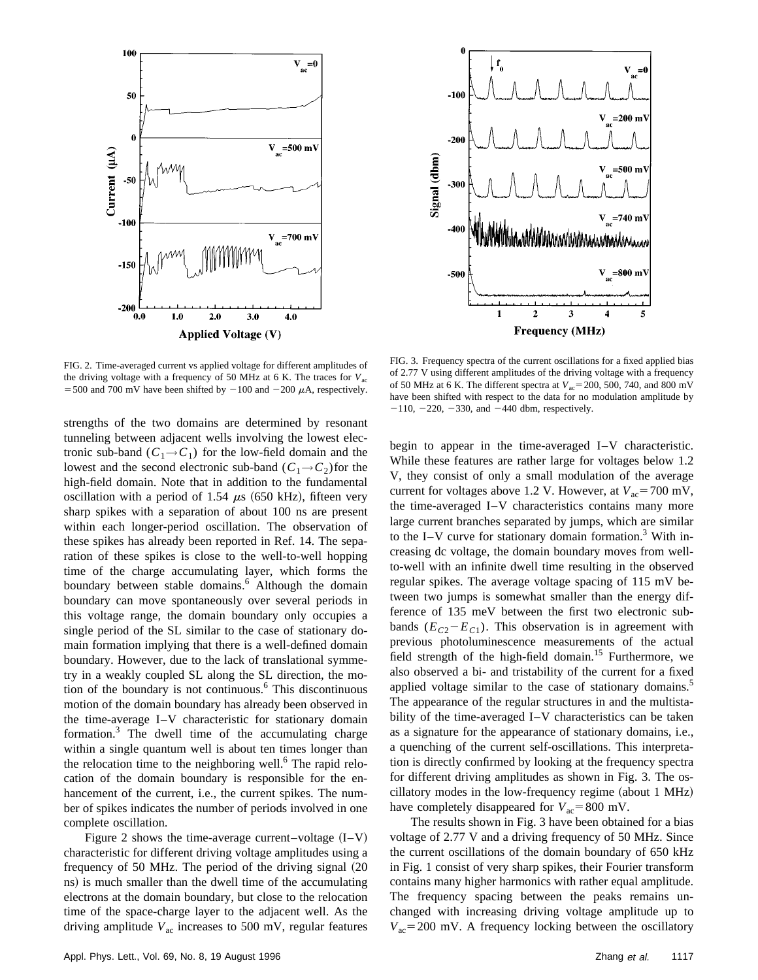



FIG. 2. Time-averaged current vs applied voltage for different amplitudes of the driving voltage with a frequency of 50 MHz at 6 K. The traces for  $V_{\text{ac}}$ = 500 and 700 mV have been shifted by  $-100$  and  $-200 \mu$ A, respectively.

strengths of the two domains are determined by resonant tunneling between adjacent wells involving the lowest electronic sub-band  $(C_1 \rightarrow C_1)$  for the low-field domain and the lowest and the second electronic sub-band  $(C_1 \rightarrow C_2)$  for the high-field domain. Note that in addition to the fundamental oscillation with a period of 1.54  $\mu$ s (650 kHz), fifteen very sharp spikes with a separation of about 100 ns are present within each longer-period oscillation. The observation of these spikes has already been reported in Ref. 14. The separation of these spikes is close to the well-to-well hopping time of the charge accumulating layer, which forms the boundary between stable domains.<sup>6</sup> Although the domain boundary can move spontaneously over several periods in this voltage range, the domain boundary only occupies a single period of the SL similar to the case of stationary domain formation implying that there is a well-defined domain boundary. However, due to the lack of translational symmetry in a weakly coupled SL along the SL direction, the motion of the boundary is not continuous.<sup>6</sup> This discontinuous motion of the domain boundary has already been observed in the time-average I–V characteristic for stationary domain formation. $3$  The dwell time of the accumulating charge within a single quantum well is about ten times longer than the relocation time to the neighboring well. $<sup>6</sup>$  The rapid relo-</sup> cation of the domain boundary is responsible for the enhancement of the current, i.e., the current spikes. The number of spikes indicates the number of periods involved in one complete oscillation.

Figure 2 shows the time-average current–voltage  $(I-V)$ characteristic for different driving voltage amplitudes using a frequency of 50 MHz. The period of the driving signal  $(20$ ns) is much smaller than the dwell time of the accumulating electrons at the domain boundary, but close to the relocation time of the space-charge layer to the adjacent well. As the driving amplitude  $V_{ac}$  increases to 500 mV, regular features

FIG. 3. Frequency spectra of the current oscillations for a fixed applied bias of 2.77 V using different amplitudes of the driving voltage with a frequency of 50 MHz at 6 K. The different spectra at  $V_{ac}$ = 200, 500, 740, and 800 mV have been shifted with respect to the data for no modulation amplitude by  $-110$ ,  $-220$ ,  $-330$ , and  $-440$  dbm, respectively.

begin to appear in the time-averaged I–V characteristic. While these features are rather large for voltages below 1.2 V, they consist of only a small modulation of the average current for voltages above 1.2 V. However, at  $V_{ac}$ =700 mV, the time-averaged I–V characteristics contains many more large current branches separated by jumps, which are similar to the I–V curve for stationary domain formation.<sup>3</sup> With increasing dc voltage, the domain boundary moves from wellto-well with an infinite dwell time resulting in the observed regular spikes. The average voltage spacing of 115 mV between two jumps is somewhat smaller than the energy difference of 135 meV between the first two electronic subbands  $(E_{C2} - E_{C1})$ . This observation is in agreement with previous photoluminescence measurements of the actual field strength of the high-field domain.<sup>15</sup> Furthermore, we also observed a bi- and tristability of the current for a fixed applied voltage similar to the case of stationary domains.<sup>5</sup> The appearance of the regular structures in and the multistability of the time-averaged I–V characteristics can be taken as a signature for the appearance of stationary domains, i.e., a quenching of the current self-oscillations. This interpretation is directly confirmed by looking at the frequency spectra for different driving amplitudes as shown in Fig. 3. The oscillatory modes in the low-frequency regime (about  $1 \text{ MHz}$ ) have completely disappeared for  $V_{ac}$ =800 mV.

The results shown in Fig. 3 have been obtained for a bias voltage of 2.77 V and a driving frequency of 50 MHz. Since the current oscillations of the domain boundary of 650 kHz in Fig. 1 consist of very sharp spikes, their Fourier transform contains many higher harmonics with rather equal amplitude. The frequency spacing between the peaks remains unchanged with increasing driving voltage amplitude up to  $V_{ac}$ =200 mV. A frequency locking between the oscillatory